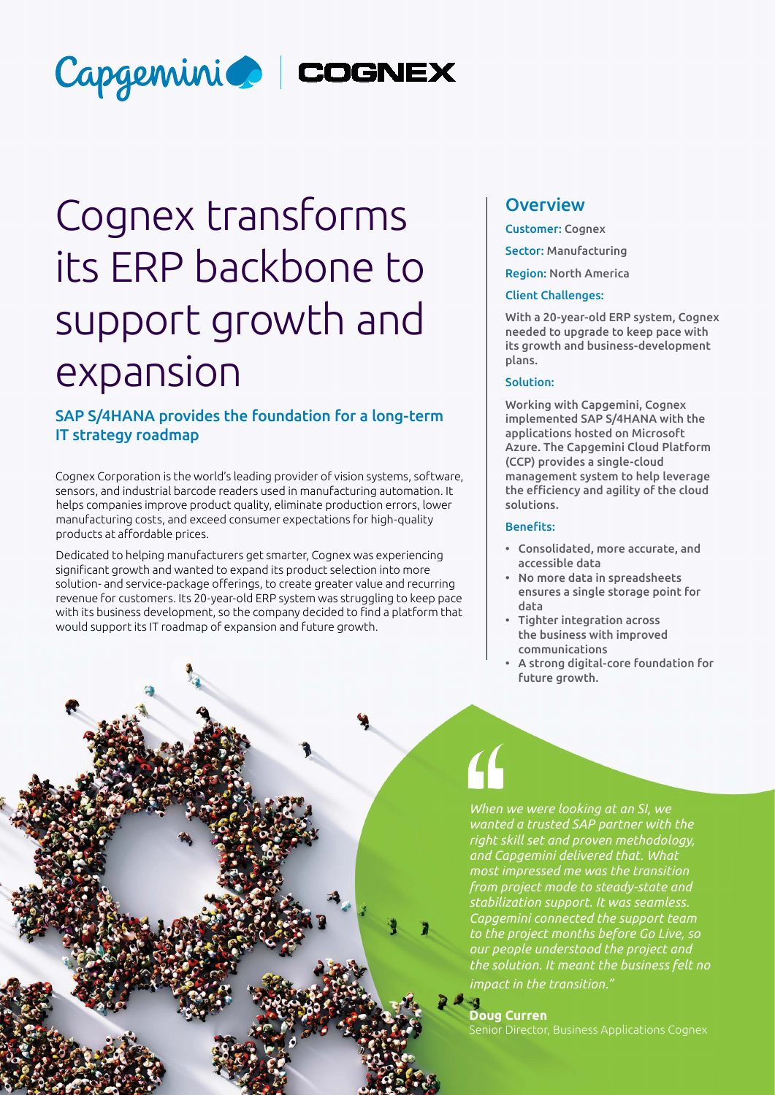

# Cognex transforms its ERP backbone to support growth and expansion

# SAP S/4HANA provides the foundation for a long-term IT strategy roadmap

Cognex Corporation is the world's leading provider of vision systems, software, sensors, and industrial barcode readers used in manufacturing automation. It helps companies improve product quality, eliminate production errors, lower manufacturing costs, and exceed consumer expectations for high-quality products at affordable prices.

Dedicated to helping manufacturers get smarter, Cognex was experiencing significant growth and wanted to expand its product selection into more solution- and service-package offerings, to create greater value and recurring revenue for customers. Its 20-year-old ERP system was struggling to keep pace with its business development, so the company decided to find a platform that would support its IT roadmap of expansion and future growth.

## **Overview**

Customer: Cognex

Sector: Manufacturing

Region: North America

### Client Challenges:

With a 20-year-old ERP system, Cognex needed to upgrade to keep pace with its growth and business-development plans.

## Solution:

Working with Capgemini, Cognex implemented SAP S/4HANA with the applications hosted on Microsoft Azure. The Capgemini Cloud Platform (CCP) provides a single-cloud management system to help leverage the efficiency and agility of the cloud solutions.

### Benefits:

- Consolidated, more accurate, and accessible data
- No more data in spreadsheets ensures a single storage point for data
- Tighter integration across the business with improved communications
- A strong digital-core foundation for future growth.



**Doug Curren**

Senior Director, Business Applications Cognex